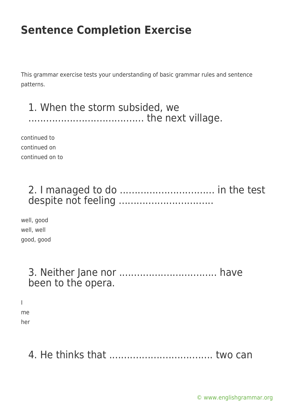This grammar exercise tests your understanding of basic grammar rules and sentence patterns.

#### 1. When the storm subsided, we ....................................... the next village.

continued to continued on continued on to

#### 2. I managed to do ................................ in the test despite not feeling ................................

well, good well, well good, good

#### 3. Neither Jane nor ................................. have been to the opera.

I

me her

## 4. He thinks that ................................... two can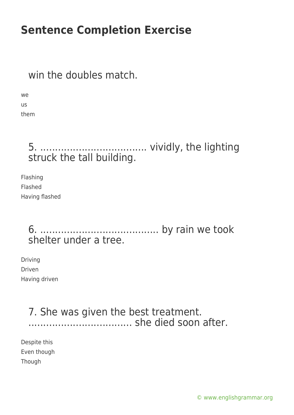### win the doubles match.

we us them

#### 5. .................................... vividly, the lighting struck the tall building.

Flashing Flashed Having flashed

#### 6. ........................................ by rain we took shelter under a tree.

Driving Driven Having driven

#### 7. She was given the best treatment. ................................... she died soon after.

Despite this Even though Though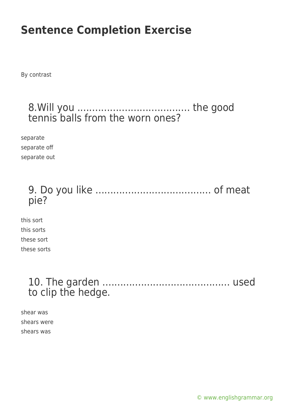By contrast

#### 8.Will you ...................................... the good tennis balls from the worn ones?

separate separate off separate out

#### 9. Do you like ....................................... of meat pie?

this sort this sorts these sort these sorts

#### 10. The garden ........................................... used to clip the hedge.

shear was shears were shears was

[© www.englishgrammar.org](https://www.englishgrammar.org/)